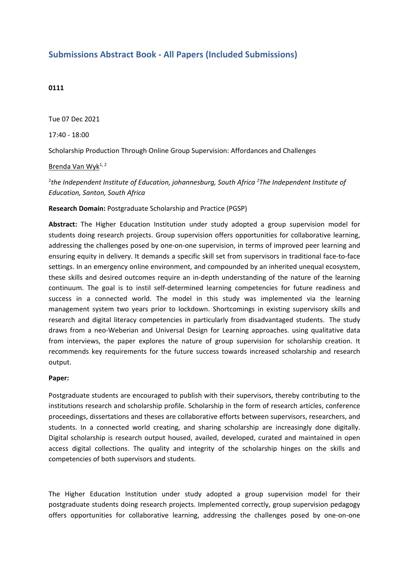## **Submissions Abstract Book - All Papers (Included Submissions)**

## **0111**

Tue 07 Dec 2021

17:40 - 18:00

Scholarship Production Through Online Group Supervision: Affordances and Challenges

Brenda Van Wyk<sup>1, 2</sup>

*1 the Independent Institute of Education, johannesburg, South Africa <sup>2</sup> The Independent Institute of Education, Santon, South Africa*

**Research Domain:** Postgraduate Scholarship and Practice (PGSP)

**Abstract:** The Higher Education Institution under study adopted <sup>a</sup> group supervision model for students doing research projects. Group supervision offers opportunities for collaborative learning, addressing the challenges posed by one-on-one supervision, in terms of improved peer learning and ensuring equity in delivery. It demands <sup>a</sup> specific skill set from supervisors in traditional face-to-face settings. In an emergency online environment, and compounded by an inherited unequal ecosystem, these skills and desired outcomes require an in-depth understanding of the nature of the learning continuum. The goal is to instil self-determined learning competencies for future readiness and success in <sup>a</sup> connected world. The model in this study was implemented via the learning management system two years prior to lockdown. Shortcomings in existing supervisory skills and research and digital literacy competencies in particularly from disadvantaged students. The study draws from <sup>a</sup> neo-Weberian and Universal Design for Learning approaches. using qualitative data from interviews, the paper explores the nature of group supervision for scholarship creation. It recommends key requirements for the future success towards increased scholarship and research output.

## **Paper:**

Postgraduate students are encouraged to publish with their supervisors, thereby contributing to the institutions research and scholarship profile. Scholarship in the form of research articles, conference proceedings, dissertations and theses are collaborative efforts between supervisors, researchers, and students. In <sup>a</sup> connected world creating, and sharing scholarship are increasingly done digitally. Digital scholarship is research output housed, availed, developed, curated and maintained in open access digital collections. The quality and integrity of the scholarship hinges on the skills and competencies of both supervisors and students.

The Higher Education Institution under study adopted <sup>a</sup> group supervision model for their postgraduate students doing research projects. Implemented correctly, group supervision pedagogy offers opportunities for collaborative learning, addressing the challenges posed by one-on-one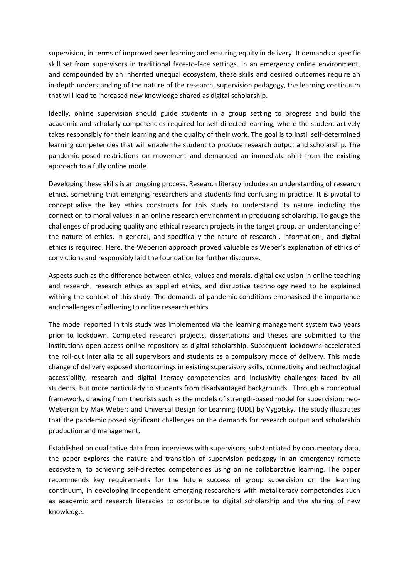supervision, in terms of improved peer learning and ensuring equity in delivery. It demands <sup>a</sup> specific skill set from supervisors in traditional face-to-face settings. In an emergency online environment, and compounded by an inherited unequal ecosystem, these skills and desired outcomes require an in-depth understanding of the nature of the research, supervision pedagogy, the learning continuum that will lead to increased new knowledge shared as digital scholarship.

Ideally, online supervision should guide students in <sup>a</sup> group setting to progress and build the academic and scholarly competencies required for self-directed learning, where the student actively takes responsibly for their learning and the quality of their work. The goal is to instil self-determined learning competencies that will enable the student to produce research output and scholarship. The pandemic posed restrictions on movement and demanded an immediate shift from the existing approach to <sup>a</sup> fully online mode.

Developing these skills is an ongoing process. Research literacy includes an understanding of research ethics, something that emerging researchers and students find confusing in practice. It is pivotal to conceptualise the key ethics constructs for this study to understand its nature including the connection to moral values in an online research environment in producing scholarship. To gauge the challenges of producing quality and ethical research projects in the target group, an understanding of the nature of ethics, in general, and specifically the nature of research-, information-, and digital ethics is required. Here, the Weberian approach proved valuable as Weber's explanation of ethics of convictions and responsibly laid the foundation for further discourse.

Aspects such as the difference between ethics, values and morals, digital exclusion in online teaching and research, research ethics as applied ethics, and disruptive technology need to be explained withing the context of this study. The demands of pandemic conditions emphasised the importance and challenges of adhering to online research ethics.

The model reported in this study was implemented via the learning management system two years prior to lockdown. Completed research projects, dissertations and theses are submitted to the institutions open access online repository as digital scholarship. Subsequent lockdowns accelerated the roll-out inter alia to all supervisors and students as <sup>a</sup> compulsory mode of delivery. This mode change of delivery exposed shortcomings in existing supervisory skills, connectivity and technological accessibility, research and digital literacy competencies and inclusivity challenges faced by all students, but more particularly to students from disadvantaged backgrounds. Through <sup>a</sup> conceptual framework, drawing from theorists such as the models of strength-based model for supervision; neo-Weberian by Max Weber; and Universal Design for Learning (UDL) by Vygotsky. The study illustrates that the pandemic posed significant challenges on the demands for research output and scholarship production and management.

Established on qualitative data from interviews with supervisors, substantiated by documentary data, the paper explores the nature and transition of supervision pedagogy in an emergency remote ecosystem, to achieving self-directed competencies using online collaborative learning. The paper recommends key requirements for the future success of group supervision on the learning continuum, in developing independent emerging researchers with metaliteracy competencies such as academic and research literacies to contribute to digital scholarship and the sharing of new knowledge.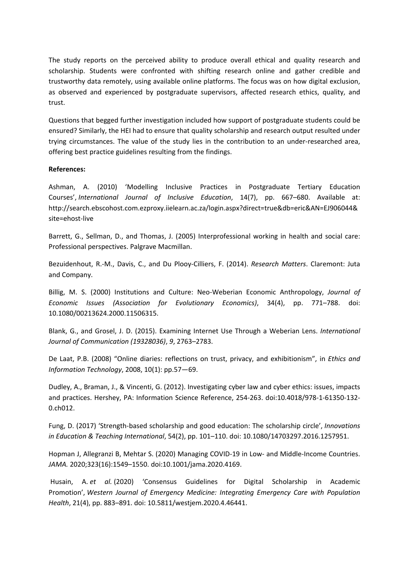The study reports on the perceived ability to produce overall ethical and quality research and scholarship. Students were confronted with shifting research online and gather credible and trustworthy data remotely, using available online platforms. The focus was on how digital exclusion, as observed and experienced by postgraduate supervisors, affected research ethics, quality, and trust.

Questions that begged further investigation included how support of postgraduate students could be ensured? Similarly, the HEI had to ensure that quality scholarship and research output resulted under trying circumstances. The value of the study lies in the contribution to an under-researched area, offering best practice guidelines resulting from the findings.

## **References:**

Ashman, A. (2010) 'Modelling Inclusive Practices in Postgraduate Tertiary Education Courses', *International Journal of Inclusive Education*, 14(7), pp. 667–680. Available at: http://search.ebscohost.com.ezproxy.iielearn.ac.za/login.aspx?direct=true&db=eric&AN=EJ906044& site=ehost-live

Barrett, G., Sellman, D., and Thomas, J. (2005) Interprofessional working in health and social care: Professional perspectives. Palgrave Macmillan.

Bezuidenhout, R.-M., Davis, C., and Du Plooy-Cilliers, F. (2014). *Research Matters*. Claremont: Juta and Company.

Billig, M. S. (2000) Institutions and Culture: Neo-Weberian Economic Anthropology, *Journal of Economic Issues (Association for Evolutionary Economics)*, 34(4), pp. 771–788. doi: 10.1080/00213624.2000.11506315.

Blank, G., and Grosel, J. D. (2015). Examining Internet Use Through <sup>a</sup> Weberian Lens. *International Journal of Communication (19328036)*, *9*, 2763–2783.

De Laat, P.B. (2008) "Online diaries: reflections on trust, privacy, and exhibitionism", in *Ethics and Information Technology*, 2008, 10(1): pp.57—69.

Dudley, A., Braman, J., & Vincenti, G. (2012). Investigating cyber law and cyber ethics: issues, impacts and practices. Hershey, PA: Information Science Reference, 254-263. doi:10.4018/978-1-61350-132- 0.ch012.

Fung, D. (2017) 'Strength-based scholarship and good education: The scholarship circle', *Innovations in Education & Teaching International*, 54(2), pp. 101–110. doi: 10.1080/14703297.2016.1257951.

Hopman J, Allegranzi B, Mehtar S. (2020) Managing COVID-19 in Low- and Middle-Income Countries. *JAMA.* 2020;323(16):1549–1550. doi:10.1001/jama.2020.4169.

 Husain, A. *et al.* (2020) 'Consensus Guidelines for Digital Scholarship in Academic Promotion', *Western Journal of Emergency Medicine: Integrating Emergency Care with Population Health*, 21(4), pp. 883–891. doi: 10.5811/westjem.2020.4.46441.